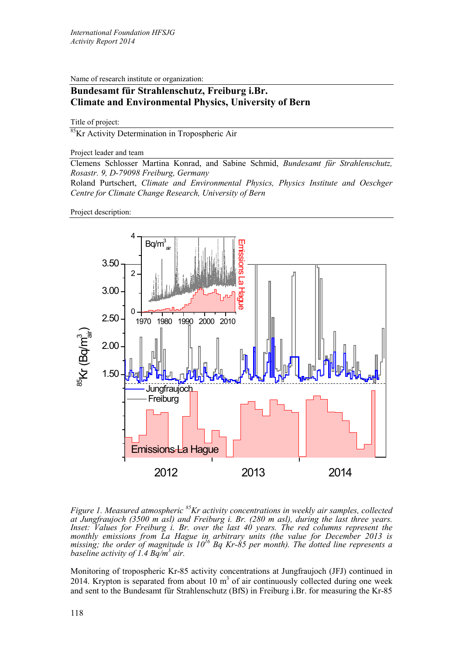Name of research institute or organization:

## **Bundesamt für Strahlenschutz, Freiburg i.Br. Climate and Environmental Physics, University of Bern**

Title of project:

<sup>85</sup>Kr Activity Determination in Tropospheric Air

Project leader and team

Clemens Schlosser Martina Konrad, and Sabine Schmid, *Bundesamt für Strahlenschutz, Rosastr. 9, D-79098 Freiburg, Germany*

Roland Purtschert, *Climate and Environmental Physics, Physics Institute and Oeschger Centre for Climate Change Research, University of Bern*

Project description:



*Figure 1. Measured atmospheric 85Kr activity concentrations in weekly air samples, collected at Jungfraujoch (3500 m asl) and Freiburg i. Br. (280 m asl), during the last three years. Inset: Values for Freiburg i. Br. over the last 40 years. The red columns represent the monthly emissions from La Hague in arbitrary units (the value for December 2013 is missing; the order of magnitude is 1016 Bq Kr-85 per month). The dotted line represents a baseline activity of 1.4 Bq/m3 air.* 

Monitoring of tropospheric Kr-85 activity concentrations at Jungfraujoch (JFJ) continued in 2014. Krypton is separated from about 10  $m<sup>3</sup>$  of air continuously collected during one week and sent to the Bundesamt für Strahlenschutz (BfS) in Freiburg i.Br. for measuring the Kr-85